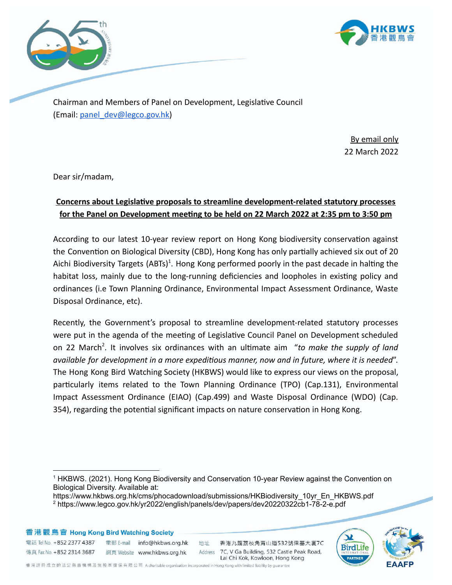



Chairman and Members of Panel on Development, Legislative Council (Email: [panel\\_dev@legco.gov.hk\)](mailto:panel_dev@legco.gov.hk)

> By email only 22 March 2022

Dear sir/madam,

## **Concerns about Legislative proposals to streamline development-related statutory processes** for the Panel on Development meeting to be held on 22 March 2022 at 2:35 pm to 3:50 pm

According to our latest 10-year review report on Hong Kong biodiversity conservation against the Convention on Biological Diversity (CBD), Hong Kong has only partially achieved six out of 20 Aichi Biodiversity Targets (ABTs)<sup>1</sup>. Hong Kong performed poorly in the past decade in halting the habitat loss, mainly due to the long-running deficiencies and loopholes in existing policy and ordinances (i.e Town Planning Ordinance, Environmental Impact Assessment Ordinance, Waste Disposal Ordinance, etc).

Recently, the Government's proposal to streamline development-related statutory processes were put in the agenda of the meeting of Legislative Council Panel on Development scheduled on 22 March<sup>2</sup>. It involves six ordinances with an ultimate aim "to make the supply of land *available for development in a more expedious manner, now and in future, where it is needed*". The Hong Kong Bird Watching Society (HKBWS) would like to express our views on the proposal, particularly items related to the Town Planning Ordinance (TPO) (Cap.131), Environmental Impact Assessment Ordinance (EIAO) (Cap.499) and Waste Disposal Ordinance (WDO) (Cap. 354), regarding the potential significant impacts on nature conservation in Hong Kong.

https://www.hkbws.org.hk/cms/phocadownload/submissions/HKBiodiversity\_10yr\_En\_HKBWS.pdf



<sup>1</sup> HKBWS. (2021). Hong Kong Biodiversity and Conservation 10-year Review against the Convention on Biological Diversity. Available at:

<sup>2</sup> https://www.legco.gov.hk/yr2022/english/panels/dev/papers/dev20220322cb1-78-2-e.pdf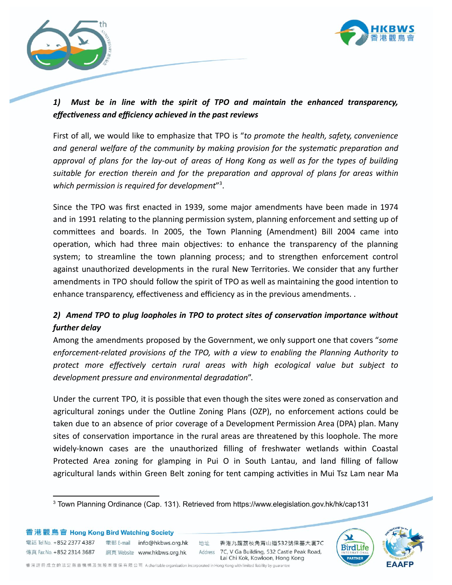



## *1) Must be in line with the spirit of TPO and maintain the enhanced transparency,* effectiveness and efficiency achieved in the past reviews

First of all, we would like to emphasize that TPO is "*to promote the health, safety, convenience and* general welfare of the community by making provision for the systematic preparation and approval of plans for the lay-out of areas of Hong Kong as well as for the types of building *suitable for erecon therein and for the preparaon and approval of plans for areas within* which permission is required for development"<sup>3</sup>.

Since the TPO was first enacted in 1939, some major amendments have been made in 1974 and in 1991 relating to the planning permission system, planning enforcement and setting up of committees and boards. In 2005, the Town Planning (Amendment) Bill 2004 came into operation, which had three main objectives: to enhance the transparency of the planning system; to streamline the town planning process; and to strengthen enforcement control against unauthorized developments in the rural New Territories. We consider that any further amendments in TPO should follow the spirit of TPO as well as maintaining the good intention to enhance transparency, effectiveness and efficiency as in the previous amendments. .

# *2) Amend TPO to plug loopholes in TPO to protect sites of conservaon importance without further delay*

Among the amendments proposed by the Government, we only support one that covers "*some enforcement-related provisions of the TPO, with a view to enabling the Planning Authority to protect more effectively certain rural areas with high ecological value but subject to development pressure and environmental degradation".* 

Under the current TPO, it is possible that even though the sites were zoned as conservation and agricultural zonings under the Outline Zoning Plans (OZP), no enforcement actions could be taken due to an absence of prior coverage of a Development Permission Area (DPA) plan. Many sites of conservation importance in the rural areas are threatened by this loophole. The more widely-known cases are the unauthorized filling of freshwater wetlands within Coastal Protected Area zoning for glamping in Pui O in South Lantau, and land filling of fallow agricultural lands within Green Belt zoning for tent camping activities in Mui Tsz Lam near Ma



<sup>3</sup> Town Planning Ordinance (Cap. 131). Retrieved from https://www.elegislation.gov.hk/hk/cap131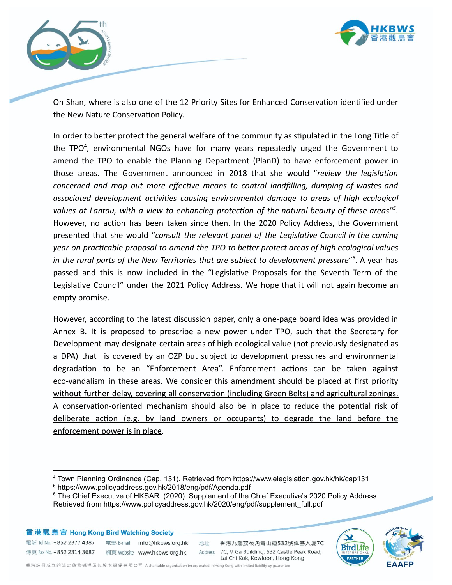



On Shan, where is also one of the 12 Priority Sites for Enhanced Conservation identified under the New Nature Conservation Policy.

In order to better protect the general welfare of the community as stipulated in the Long Title of the TPO<sup>4</sup>, environmental NGOs have for many years repeatedly urged the Government to amend the TPO to enable the Planning Department (PlanD) to have enforcement power in those areas. The Government announced in 2018 that she would "*review the legislaon concerned* and map out more effective means to control landfilling, dumping of wastes and *associated development acvies causing environmental damage to areas of high ecological values* at Lantau, with a view to enhancing protection of the natural beauty of these areas<sup>15</sup>. However, no action has been taken since then. In the 2020 Policy Address, the Government presented that she would "*consult the relevant panel of the Legislave Council in the coming year* on practicable proposal to amend the TPO to better protect areas of high ecological values *in the rural parts of the New Territories that are subject to development pressure*" 6 . A year has passed and this is now included in the "Legislative Proposals for the Seventh Term of the Legislative Council" under the 2021 Policy Address. We hope that it will not again become an empty promise.

However, according to the latest discussion paper, only a one-page board idea was provided in Annex B. It is proposed to prescribe a new power under TPO, such that the Secretary for Development may designate certain areas of high ecological value (not previously designated as a DPA) that is covered by an OZP but subject to development pressures and environmental degradation to be an "Enforcement Area". Enforcement actions can be taken against eco-vandalism in these areas. We consider this amendment should be placed at first priority without further delay, covering all conservation (including Green Belts) and agricultural zonings. A conservation-oriented mechanism should also be in place to reduce the potential risk of deliberate action (e.g. by land owners or occupants) to degrade the land before the enforcement power is in place.

地址

香港觀鳥會 Hong Kong Bird Watching Society

電話 Tel No. +852 2377 4387 電郵 E-mail info@hkbws.org.hk 



<sup>4</sup> Town Planning Ordinance (Cap. 131). Retrieved from https://www.elegislation.gov.hk/hk/cap131

<sup>5</sup> https://www.policyaddress.gov.hk/2018/eng/pdf/Agenda.pdf

<sup>&</sup>lt;sup>6</sup> The Chief Executive of HKSAR. (2020). Supplement of the Chief Executive's 2020 Policy Address. Retrieved from https://www.policyaddress.gov.hk/2020/eng/pdf/supplement\_full.pdf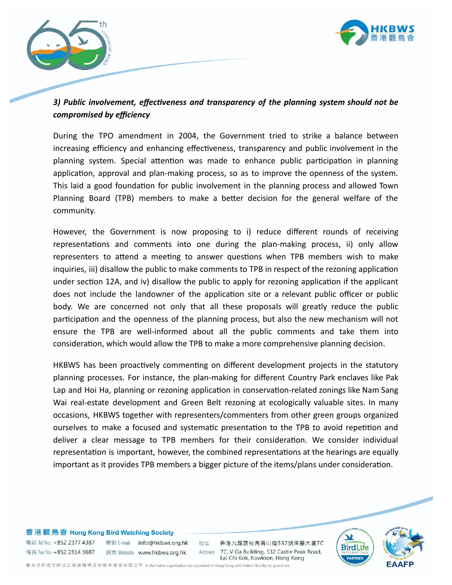



## *3) Public involvement, effecveness and transparency of the planning system should not be compromised by efficiency*

During the TPO amendment in 2004, the Government tried to strike a balance between increasing efficiency and enhancing effectiveness, transparency and public involvement in the planning system. Special attention was made to enhance public participation in planning application, approval and plan-making process, so as to improve the openness of the system. This laid a good foundation for public involvement in the planning process and allowed Town Planning Board (TPB) members to make a better decision for the general welfare of the community.

However, the Government is now proposing to i) reduce different rounds of receiving representations and comments into one during the plan-making process, ii) only allow representers to attend a meeting to answer questions when TPB members wish to make inquiries, iii) disallow the public to make comments to TPB in respect of the rezoning application under section 12A, and iv) disallow the public to apply for rezoning application if the applicant does not include the landowner of the application site or a relevant public officer or public body. We are concerned not only that all these proposals will greatly reduce the public participation and the openness of the planning process, but also the new mechanism will not ensure the TPB are well-informed about all the public comments and take them into consideration, which would allow the TPB to make a more comprehensive planning decision.

HKBWS has been proactively commenting on different development projects in the statutory planning processes. For instance, the plan-making for different Country Park enclaves like Pak Lap and Hoi Ha, planning or rezoning application in conservation-related zonings like Nam Sang Wai real-estate development and Green Belt rezoning at ecologically valuable sites. In many occasions, HKBWS together with representers/commenters from other green groups organized ourselves to make a focused and systematic presentation to the TPB to avoid repetition and deliver a clear message to TPB members for their consideration. We consider individual representation is important, however, the combined representations at the hearings are equally important as it provides TPB members a bigger picture of the items/plans under consideration.



電話 Tel No. +852 2377 4387 電郵 E-mail info@hkbws.org.hk 傳真 Fax No. +852 2314 3687 網頁 Website www.hkbws.org.hk

地址 香港九龍荔枝角青山道532號偉基大廈7C Address 7C, V Ga Building, 532 Castle Peak Road, Lai Chi Kok, Kowloon, Hong Kong

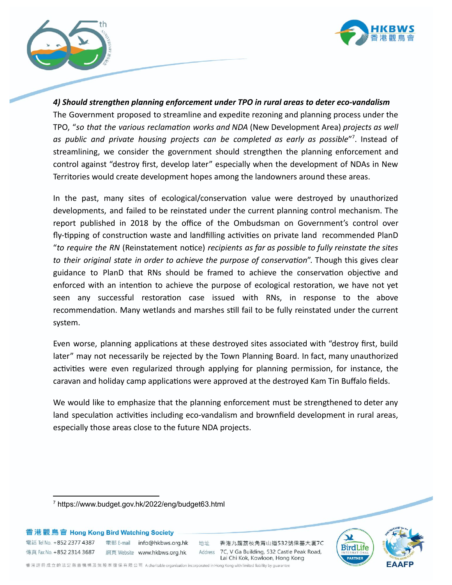



*4) Should strengthen planning enforcement under TPO in rural areas to deter eco-vandalism* The Government proposed to streamline and expedite rezoning and planning process under the TPO, "so that the various reclamation works and NDA (New Development Area) projects as well *as public and private housing projects can be completed as early as possible*" 7 . Instead of streamlining, we consider the government should strengthen the planning enforcement and control against "destroy first, develop later" especially when the development of NDAs in New Territories would create development hopes among the landowners around these areas.

In the past, many sites of ecological/conservation value were destroyed by unauthorized developments, and failed to be reinstated under the current planning control mechanism. The report published in 2018 by the office of the Ombudsman on Government's control over fly-tipping of construction waste and landfilling activities on private land recommended PlanD "*to require the RN* (Reinstatement noce) *recipients as far as possible to fully reinstate the sites to their original state in order to achieve the purpose of conservation*". Though this gives clear guidance to PlanD that RNs should be framed to achieve the conservation objective and enforced with an intention to achieve the purpose of ecological restoration, we have not yet seen any successful restoration case issued with RNs, in response to the above recommendation. Many wetlands and marshes still fail to be fully reinstated under the current system.

Even worse, planning applications at these destroyed sites associated with "destroy first, build later" may not necessarily be rejected by the Town Planning Board. In fact, many unauthorized activities were even regularized through applying for planning permission, for instance, the caravan and holiday camp applications were approved at the destroyed Kam Tin Buffalo fields.

We would like to emphasize that the planning enforcement must be strengthened to deter any land speculation activities including eco-vandalism and brownfield development in rural areas, especially those areas close to the future NDA projects.

香港觀鳥會 Hong Kong Bird Watching Society

電話 Tel No. +852 2377 4387 電郵 E-mail info@hkbws.org.hk 

地址

香港九龍荔枝角青山道532號偉基大廈7C Address 7C, V Ga Building, 532 Castle Peak Road, Lai Chi Kok, Kowloon, Hong Kong



<sup>7</sup> https://www.budget.gov.hk/2022/eng/budget63.html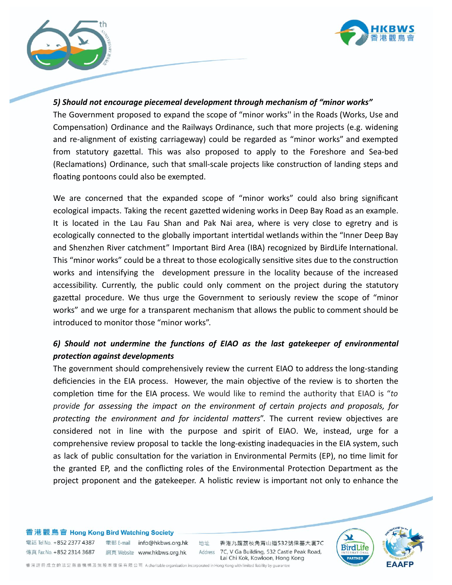



### *5) Should not encourage piecemeal development through mechanism of "minor works"*

The Government proposed to expand the scope of "minor works'' in the Roads (Works, Use and Compensation) Ordinance and the Railways Ordinance, such that more projects (e.g. widening and re-alignment of existing carriageway) could be regarded as "minor works" and exempted from statutory gazettal. This was also proposed to apply to the Foreshore and Sea-bed (Reclamations) Ordinance, such that small-scale projects like construction of landing steps and floating pontoons could also be exempted.

We are concerned that the expanded scope of "minor works" could also bring significant ecological impacts. Taking the recent gazetted widening works in Deep Bay Road as an example. It is located in the Lau Fau Shan and Pak Nai area, where is very close to egretry and is ecologically connected to the globally important intertidal wetlands within the "Inner Deep Bay and Shenzhen River catchment" Important Bird Area (IBA) recognized by BirdLife International. This "minor works" could be a threat to those ecologically sensitive sites due to the construction works and intensifying the development pressure in the locality because of the increased accessibility. Currently, the public could only comment on the project during the statutory gazettal procedure. We thus urge the Government to seriously review the scope of "minor works" and we urge for a transparent mechanism that allows the public to comment should be introduced to monitor those "minor works".

## $6$ ) Should not undermine the functions of EIAO as the last gatekeeper of environmental *protection against developments*

The government should comprehensively review the current EIAO to address the long-standing deficiencies in the EIA process. However, the main objective of the review is to shorten the completion time for the EIA process. We would like to remind the authority that EIAO is "*to provide for assessing the impact on the environment of certain projects and proposals, for protecting the environment and for incidental matters*". The current review objectives are considered not in line with the purpose and spirit of EIAO. We, instead, urge for a comprehensive review proposal to tackle the long-existing inadequacies in the EIA system, such as lack of public consultation for the variation in Environmental Permits (EP), no time limit for the granted EP, and the conflicting roles of the Environmental Protection Department as the project proponent and the gatekeeper. A holistic review is important not only to enhance the

#### 香港觀鳥會 Hong Kong Bird Watching Society

傳真 Fax No. +852 2314 3687

電話 Tel No. +852 2377 4387 電郵 E-mail info@hkbws.org.hk 網頁 Website www.hkbws.org.hk

地址 香港九龍荔枝角青山道532號偉基大廈7C Address 7C, V Ga Building, 532 Castle Peak Road, Lai Chi Kok, Kowloon, Hong Kong

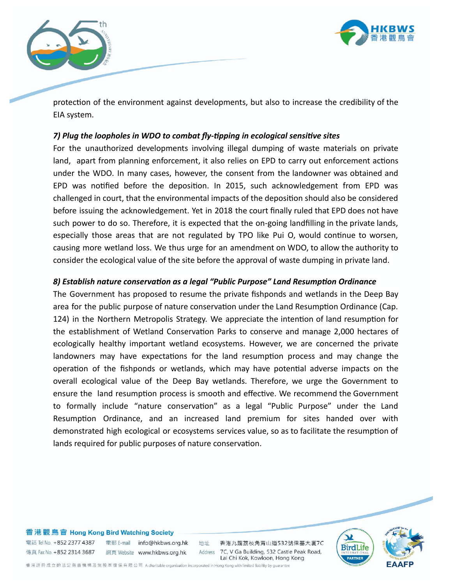



protection of the environment against developments, but also to increase the credibility of the EIA system.

### *7) Plug the loopholes in WDO to combat fly-tipping in ecological sensitive sites*

For the unauthorized developments involving illegal dumping of waste materials on private land, apart from planning enforcement, it also relies on EPD to carry out enforcement actions under the WDO. In many cases, however, the consent from the landowner was obtained and EPD was notified before the deposition. In 2015, such acknowledgement from EPD was challenged in court, that the environmental impacts of the deposition should also be considered before issuing the acknowledgement. Yet in 2018 the court finally ruled that EPD does not have such power to do so. Therefore, it is expected that the on-going landfilling in the private lands, especially those areas that are not regulated by TPO like Pui O, would continue to worsen, causing more wetland loss. We thus urge for an amendment on WDO, to allow the authority to consider the ecological value of the site before the approval of waste dumping in private land.

### 8) Establish nature conservation as a legal "Public Purpose" Land Resumption Ordinance

The Government has proposed to resume the private fishponds and wetlands in the Deep Bay area for the public purpose of nature conservation under the Land Resumption Ordinance (Cap. 124) in the Northern Metropolis Strategy. We appreciate the intention of land resumption for the establishment of Wetland Conservation Parks to conserve and manage 2,000 hectares of ecologically healthy important wetland ecosystems. However, we are concerned the private landowners may have expectations for the land resumption process and may change the operation of the fishponds or wetlands, which may have potential adverse impacts on the overall ecological value of the Deep Bay wetlands. Therefore, we urge the Government to ensure the land resumption process is smooth and effective. We recommend the Government to formally include "nature conservation" as a legal "Public Purpose" under the Land Resumption Ordinance, and an increased land premium for sites handed over with demonstrated high ecological or ecosystems services value, so as to facilitate the resumption of lands required for public purposes of nature conservation.



#### 香港觀鳥會 Hong Kong Bird Watching Society

電話 Tel No. +852 2377 4387 電郵 E-mail info@hkbws.org.hk 傳真 Fax No. +852 2314 3687 網頁 Website www.hkbws.org.hk

地址

香港九龍荔枝角青山道532號偉基大廈7C Address 7C, V Ga Building, 532 Castle Peak Road, Lai Chi Kok, Kowloon, Hong Kong